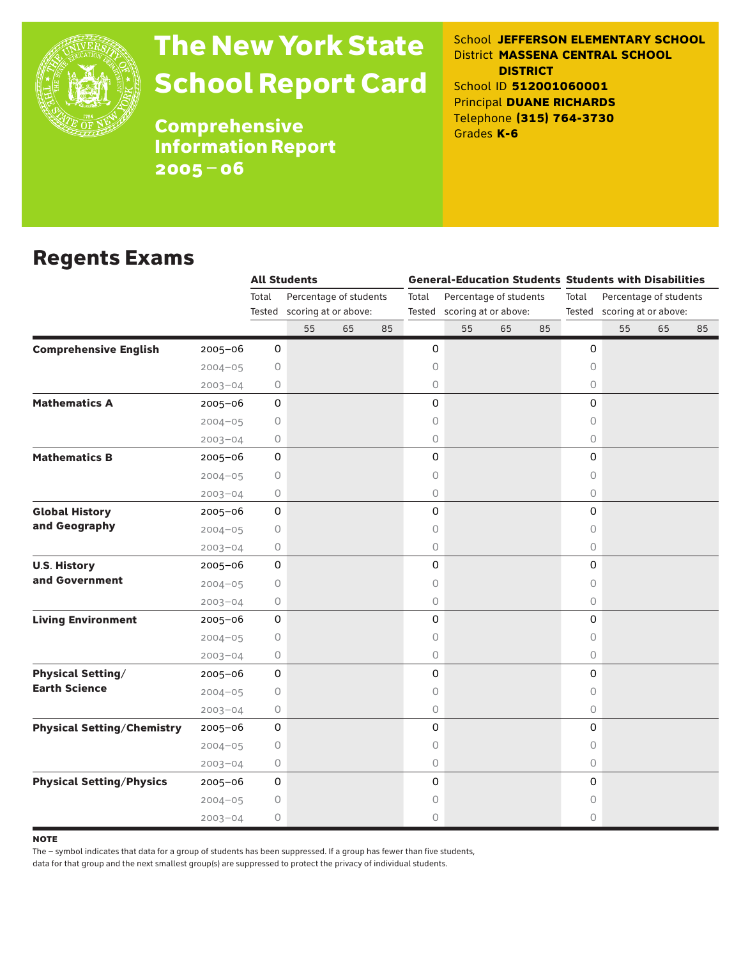

# The New York State School Report Card

School **JEFFERSON ELEMENTARY SCHOOL** District **MASSENA CENTRAL SCHOOL DISTRICT** School ID **512001060001** Principal **DUANE RICHARDS** Telephone **(315) 764-3730** Grades **K-6**

**Comprehensive** Information Report 2005–06

### Regents Exams

|                                   |             |                 | <b>All Students</b>                            |    |    |         |                                                       |    |    | <b>General-Education Students Students with Disabilities</b> |    |                                                       |    |  |
|-----------------------------------|-------------|-----------------|------------------------------------------------|----|----|---------|-------------------------------------------------------|----|----|--------------------------------------------------------------|----|-------------------------------------------------------|----|--|
|                                   |             | Total<br>Tested | Percentage of students<br>scoring at or above: |    |    | Total   | Percentage of students<br>Tested scoring at or above: |    |    | Total                                                        |    | Percentage of students<br>Tested scoring at or above: |    |  |
|                                   |             |                 | 55                                             | 65 | 85 |         | 55                                                    | 65 | 85 |                                                              | 55 | 65                                                    | 85 |  |
| <b>Comprehensive English</b>      | $2005 - 06$ | 0               |                                                |    |    | 0       |                                                       |    |    | 0                                                            |    |                                                       |    |  |
|                                   | $2004 - 05$ | 0               |                                                |    |    | 0       |                                                       |    |    | $\circ$                                                      |    |                                                       |    |  |
|                                   | $2003 - 04$ | 0               |                                                |    |    | 0       |                                                       |    |    | $\circ$                                                      |    |                                                       |    |  |
| <b>Mathematics A</b>              | $2005 - 06$ | 0               |                                                |    |    | 0       |                                                       |    |    | 0                                                            |    |                                                       |    |  |
|                                   | $2004 - 05$ | 0               |                                                |    |    | 0       |                                                       |    |    | $\circ$                                                      |    |                                                       |    |  |
|                                   | $2003 - 04$ | 0               |                                                |    |    | 0       |                                                       |    |    | 0                                                            |    |                                                       |    |  |
| <b>Mathematics B</b>              | 2005-06     | 0               |                                                |    |    | 0       |                                                       |    |    | 0                                                            |    |                                                       |    |  |
|                                   | $2004 - 05$ | $\circ$         |                                                |    |    | $\circ$ |                                                       |    |    | 0                                                            |    |                                                       |    |  |
|                                   | $2003 - 04$ | 0               |                                                |    |    | 0       |                                                       |    |    | 0                                                            |    |                                                       |    |  |
| <b>Global History</b>             | $2005 - 06$ | 0               |                                                |    |    | 0       |                                                       |    |    | 0                                                            |    |                                                       |    |  |
| and Geography                     | $2004 - 05$ | 0               |                                                |    |    | 0       |                                                       |    |    | $\circ$                                                      |    |                                                       |    |  |
|                                   | $2003 - 04$ | 0               |                                                |    |    | 0       |                                                       |    |    | $\bigcirc$                                                   |    |                                                       |    |  |
| <b>U.S. History</b>               | $2005 - 06$ | $\mathsf{O}$    |                                                |    |    | 0       |                                                       |    |    | 0                                                            |    |                                                       |    |  |
| and Government                    | $2004 - 05$ | 0               |                                                |    |    | 0       |                                                       |    |    | $\circ$                                                      |    |                                                       |    |  |
|                                   | $2003 - 04$ | 0               |                                                |    |    | 0       |                                                       |    |    | 0                                                            |    |                                                       |    |  |
| <b>Living Environment</b>         | $2005 - 06$ | 0               |                                                |    |    | 0       |                                                       |    |    | 0                                                            |    |                                                       |    |  |
|                                   | $2004 - 05$ | $\circ$         |                                                |    |    | 0       |                                                       |    |    | $\circ$                                                      |    |                                                       |    |  |
|                                   | $2003 - 04$ | 0               |                                                |    |    | 0       |                                                       |    |    | $\circ$                                                      |    |                                                       |    |  |
| <b>Physical Setting/</b>          | 2005-06     | 0               |                                                |    |    | 0       |                                                       |    |    | 0                                                            |    |                                                       |    |  |
| <b>Earth Science</b>              | $2004 - 05$ | 0               |                                                |    |    | 0       |                                                       |    |    | $\circ$                                                      |    |                                                       |    |  |
|                                   | $2003 - 04$ | $\circ$         |                                                |    |    | 0       |                                                       |    |    | 0                                                            |    |                                                       |    |  |
| <b>Physical Setting/Chemistry</b> | $2005 - 06$ | $\mathsf{O}$    |                                                |    |    | 0       |                                                       |    |    | 0                                                            |    |                                                       |    |  |
|                                   | $2004 - 05$ | 0               |                                                |    |    | 0       |                                                       |    |    | 0                                                            |    |                                                       |    |  |
|                                   | $2003 - 04$ | 0               |                                                |    |    | 0       |                                                       |    |    | $\bigcirc$                                                   |    |                                                       |    |  |
| <b>Physical Setting/Physics</b>   | $2005 - 06$ | 0               |                                                |    |    | 0       |                                                       |    |    | 0                                                            |    |                                                       |    |  |
|                                   | $2004 - 05$ | $\bigcirc$      |                                                |    |    | 0       |                                                       |    |    | 0                                                            |    |                                                       |    |  |
|                                   | $2003 - 04$ | 0               |                                                |    |    | 0       |                                                       |    |    | $\circ$                                                      |    |                                                       |    |  |

**NOTE** 

The – symbol indicates that data for a group of students has been suppressed. If a group has fewer than five students,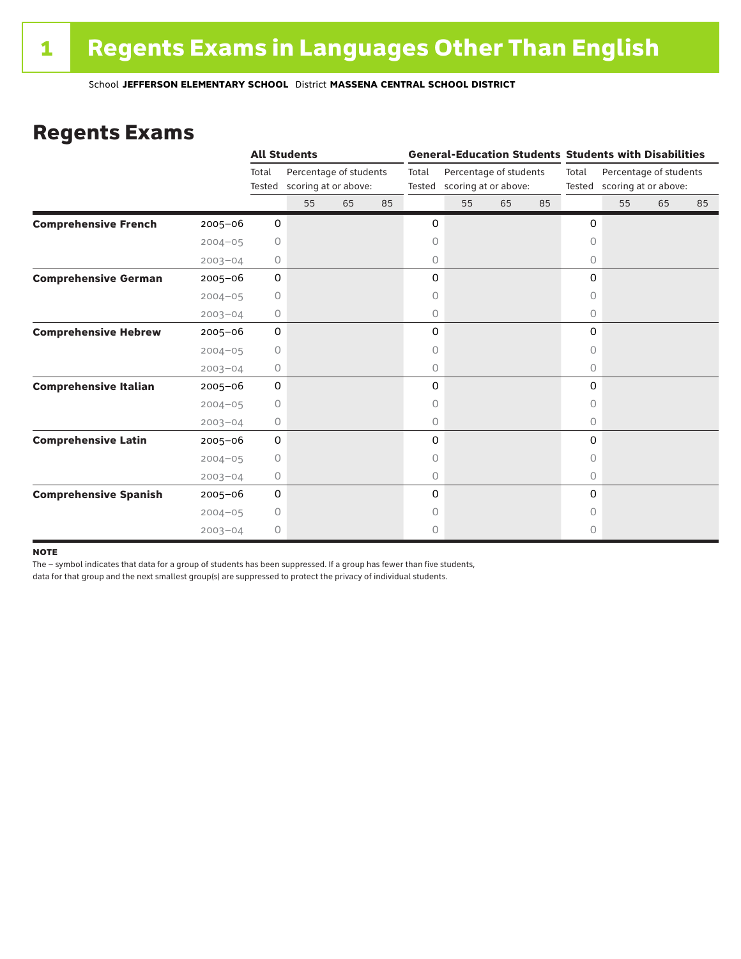### Regents Exams

|                              |             |                 | <b>All Students</b>                            |    |                 |                                                | <b>General-Education Students Students with Disabilities</b> |    |       |                                                       |    |    |    |  |
|------------------------------|-------------|-----------------|------------------------------------------------|----|-----------------|------------------------------------------------|--------------------------------------------------------------|----|-------|-------------------------------------------------------|----|----|----|--|
|                              |             | Total<br>Tested | Percentage of students<br>scoring at or above: |    | Total<br>Tested | Percentage of students<br>scoring at or above: |                                                              |    | Total | Percentage of students<br>Tested scoring at or above: |    |    |    |  |
|                              |             |                 | 55                                             | 65 | 85              |                                                | 55                                                           | 65 | 85    |                                                       | 55 | 65 | 85 |  |
| <b>Comprehensive French</b>  | $2005 - 06$ | 0               |                                                |    |                 | 0                                              |                                                              |    |       | 0                                                     |    |    |    |  |
|                              | $2004 - 05$ | 0               |                                                |    |                 | 0                                              |                                                              |    |       | $\circ$                                               |    |    |    |  |
|                              | $2003 - 04$ | 0               |                                                |    |                 | 0                                              |                                                              |    |       | 0                                                     |    |    |    |  |
| <b>Comprehensive German</b>  | $2005 - 06$ | 0               |                                                |    |                 | 0                                              |                                                              |    |       | 0                                                     |    |    |    |  |
|                              | $2004 - 05$ | $\circ$         |                                                |    |                 | 0                                              |                                                              |    |       | $\circ$                                               |    |    |    |  |
|                              | $2003 - 04$ | 0               |                                                |    |                 | 0                                              |                                                              |    |       | 0                                                     |    |    |    |  |
| <b>Comprehensive Hebrew</b>  | $2005 - 06$ | 0               |                                                |    |                 | 0                                              |                                                              |    |       | 0                                                     |    |    |    |  |
|                              | $2004 - 05$ | 0               |                                                |    |                 | 0                                              |                                                              |    |       | 0                                                     |    |    |    |  |
|                              | $2003 - 04$ | 0               |                                                |    |                 | 0                                              |                                                              |    |       | $\circ$                                               |    |    |    |  |
| <b>Comprehensive Italian</b> | $2005 - 06$ | 0               |                                                |    |                 | 0                                              |                                                              |    |       | 0                                                     |    |    |    |  |
|                              | $2004 - 05$ | 0               |                                                |    |                 | 0                                              |                                                              |    |       | $\Omega$                                              |    |    |    |  |
|                              | $2003 - 04$ | 0               |                                                |    |                 | 0                                              |                                                              |    |       | 0                                                     |    |    |    |  |
| <b>Comprehensive Latin</b>   | $2005 - 06$ | 0               |                                                |    |                 | 0                                              |                                                              |    |       | 0                                                     |    |    |    |  |
|                              | $2004 - 05$ | $\circ$         |                                                |    |                 | 0                                              |                                                              |    |       | $\bigcap$                                             |    |    |    |  |
|                              | $2003 - 04$ | 0               |                                                |    |                 | 0                                              |                                                              |    |       | $\circ$                                               |    |    |    |  |
| <b>Comprehensive Spanish</b> | $2005 - 06$ | 0               |                                                |    |                 | 0                                              |                                                              |    |       | 0                                                     |    |    |    |  |
|                              | $2004 - 05$ | 0               |                                                |    |                 | 0                                              |                                                              |    |       | Ω                                                     |    |    |    |  |
|                              | $2003 - 04$ | $\circ$         |                                                |    |                 | 0                                              |                                                              |    |       | 0                                                     |    |    |    |  |

#### **NOTE**

The – symbol indicates that data for a group of students has been suppressed. If a group has fewer than five students,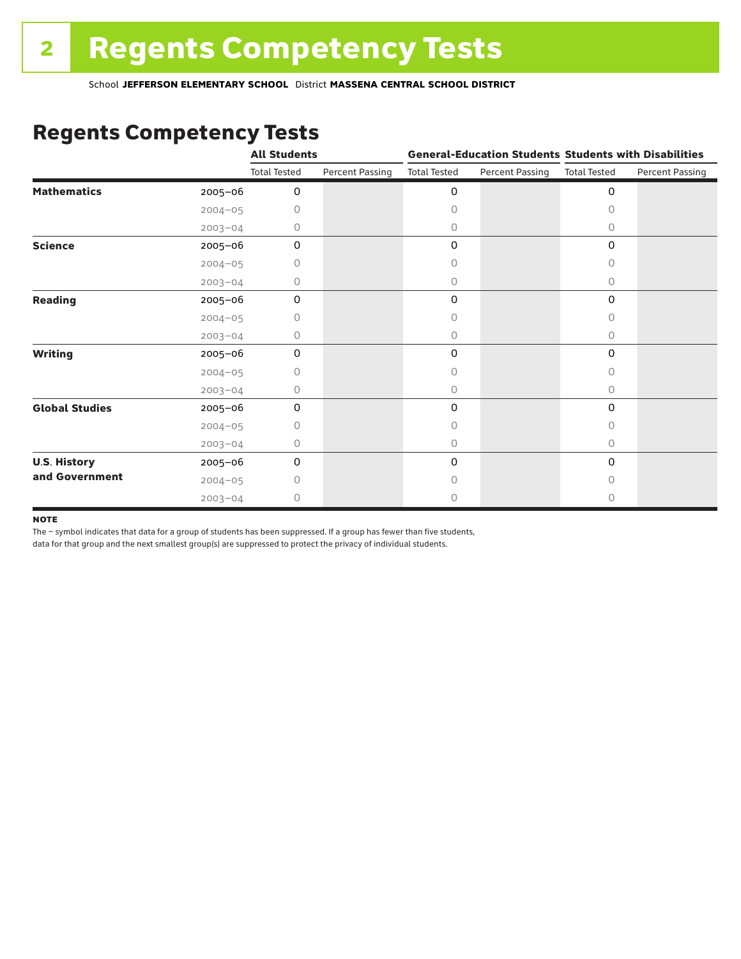### Regents Competency Tests

|                       |             | <b>All Students</b> |                        |                     | <b>General-Education Students Students with Disabilities</b> |                     |                        |
|-----------------------|-------------|---------------------|------------------------|---------------------|--------------------------------------------------------------|---------------------|------------------------|
|                       |             | <b>Total Tested</b> | <b>Percent Passing</b> | <b>Total Tested</b> | Percent Passing                                              | <b>Total Tested</b> | <b>Percent Passing</b> |
| <b>Mathematics</b>    | 2005-06     | 0                   |                        | 0                   |                                                              | $\mathbf 0$         |                        |
|                       | $2004 - 05$ | 0                   |                        | 0                   |                                                              | $\Omega$            |                        |
|                       | $2003 - 04$ | 0                   |                        | 0                   |                                                              | 0                   |                        |
| <b>Science</b>        | 2005-06     | 0                   |                        | 0                   |                                                              | $\mathbf 0$         |                        |
|                       | $2004 - 05$ | 0                   |                        | 0                   |                                                              | 0                   |                        |
|                       | $2003 - 04$ | 0                   |                        | 0                   |                                                              | 0                   |                        |
| <b>Reading</b>        | 2005-06     | 0                   |                        | 0                   |                                                              | 0                   |                        |
|                       | $2004 - 05$ | Ω                   |                        | 0                   |                                                              | 0                   |                        |
|                       | $2003 - 04$ | 0                   |                        | 0                   |                                                              | 0                   |                        |
| <b>Writing</b>        | 2005-06     | $\Omega$            |                        | 0                   |                                                              | $\mathbf 0$         |                        |
|                       | $2004 - 05$ | 0                   |                        | 0                   |                                                              | $\Omega$            |                        |
|                       | $2003 - 04$ | 0                   |                        | 0                   |                                                              | $\circ$             |                        |
| <b>Global Studies</b> | 2005-06     | $\mathbf 0$         |                        | 0                   |                                                              | $\mathbf 0$         |                        |
|                       | $2004 - 05$ | 0                   |                        | 0                   |                                                              | 0                   |                        |
|                       | $2003 - 04$ | 0                   |                        | 0                   |                                                              | $\circ$             |                        |
| <b>U.S. History</b>   | 2005-06     | 0                   |                        | 0                   |                                                              | 0                   |                        |
| and Government        | $2004 - 05$ | O                   |                        | O                   |                                                              | $\bigcap$           |                        |
|                       | $2003 - 04$ | 0                   |                        | 0                   |                                                              | 0                   |                        |

#### **NOTE**

The – symbol indicates that data for a group of students has been suppressed. If a group has fewer than five students,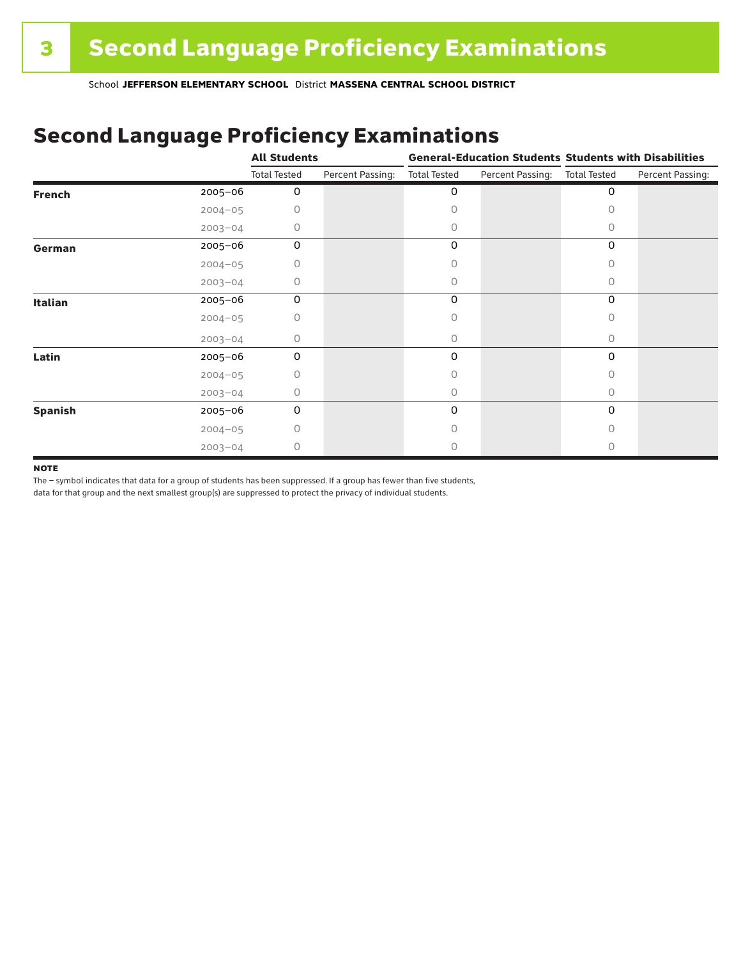## Second Language Proficiency Examinations

|                |             | <b>All Students</b> |                  | <b>General-Education Students Students with Disabilities</b> |                  |                     |                  |
|----------------|-------------|---------------------|------------------|--------------------------------------------------------------|------------------|---------------------|------------------|
|                |             | <b>Total Tested</b> | Percent Passing: | <b>Total Tested</b>                                          | Percent Passing: | <b>Total Tested</b> | Percent Passing: |
| <b>French</b>  | 2005-06     | 0                   |                  | 0                                                            |                  | 0                   |                  |
|                | $2004 - 05$ | 0                   |                  | Ω                                                            |                  |                     |                  |
|                | $2003 - 04$ | 0                   |                  | 0                                                            |                  | Ω                   |                  |
| German         | 2005-06     | 0                   |                  | 0                                                            |                  | 0                   |                  |
|                | $2004 - 05$ | 0                   |                  |                                                              |                  | 0                   |                  |
|                | $2003 - 04$ | 0                   |                  | 0                                                            |                  | 0                   |                  |
| <b>Italian</b> | 2005-06     | 0                   |                  | 0                                                            |                  | 0                   |                  |
|                | $2004 - 05$ | 0                   |                  | Ω                                                            |                  |                     |                  |
|                | $2003 - 04$ | 0                   |                  | 0                                                            |                  | 0                   |                  |
| Latin          | 2005-06     | 0                   |                  | 0                                                            |                  | 0                   |                  |
|                | $2004 - 05$ | 0                   |                  |                                                              |                  |                     |                  |
|                | $2003 - 04$ | 0                   |                  | 0                                                            |                  | 0                   |                  |
| <b>Spanish</b> | 2005-06     | 0                   |                  | 0                                                            |                  | 0                   |                  |
|                | $2004 - 05$ | 0                   |                  | Ω                                                            |                  | Ω                   |                  |
|                | $2003 - 04$ | 0                   |                  |                                                              |                  |                     |                  |

#### **NOTE**

The – symbol indicates that data for a group of students has been suppressed. If a group has fewer than five students,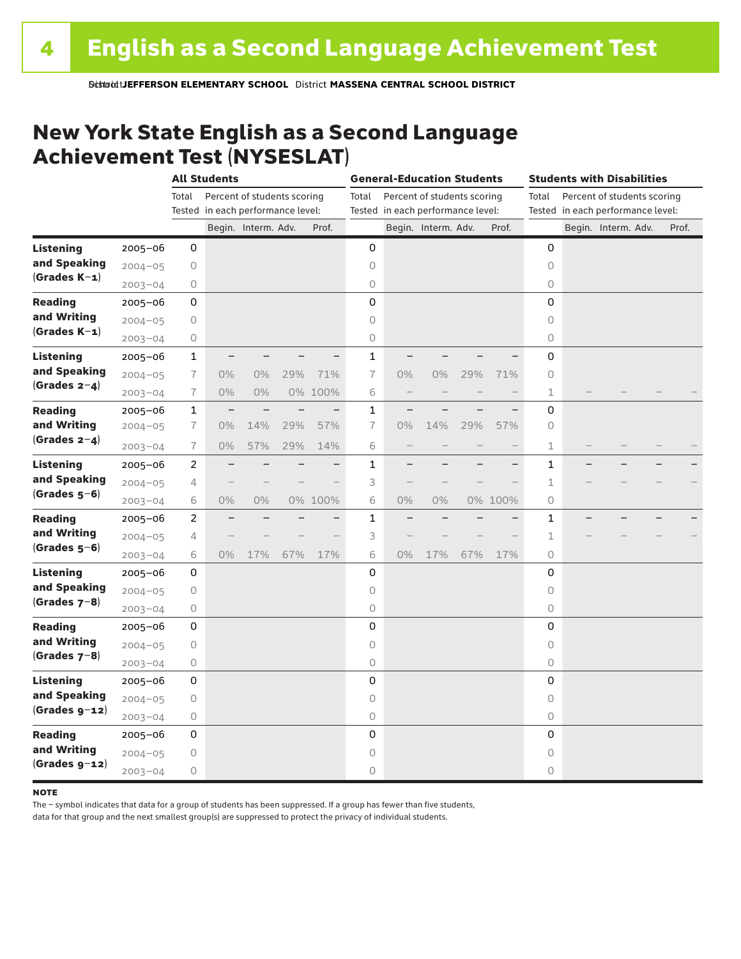### New York State English as a Second Language Achievement Test (NYSESLAT)

|                  |             |                | <b>All Students</b>               |                             |     |         | <b>General-Education Students</b> |       |                                   |     | <b>Students with Disabilities</b> |                                      |  |                                   |  |       |
|------------------|-------------|----------------|-----------------------------------|-----------------------------|-----|---------|-----------------------------------|-------|-----------------------------------|-----|-----------------------------------|--------------------------------------|--|-----------------------------------|--|-------|
|                  |             | Total          |                                   | Percent of students scoring |     |         | Total                             |       | Percent of students scoring       |     |                                   | Percent of students scoring<br>Total |  |                                   |  |       |
|                  |             |                | Tested in each performance level: |                             |     |         |                                   |       | Tested in each performance level: |     |                                   |                                      |  | Tested in each performance level: |  |       |
|                  |             |                |                                   | Begin. Interm. Adv.         |     | Prof.   |                                   |       | Begin. Interm. Adv.               |     | Prof.                             |                                      |  | Begin. Interm. Adv.               |  | Prof. |
| <b>Listening</b> | 2005-06     | 0              |                                   |                             |     |         | 0                                 |       |                                   |     |                                   | 0                                    |  |                                   |  |       |
| and Speaking     | $2004 - 05$ | 0              |                                   |                             |     |         | 0                                 |       |                                   |     |                                   | $\circ$                              |  |                                   |  |       |
| $(Grades K-1)$   | $2003 - 04$ | 0              |                                   |                             |     |         | $\bigcirc$                        |       |                                   |     |                                   | 0                                    |  |                                   |  |       |
| <b>Reading</b>   | $2005 - 06$ | 0              |                                   |                             |     |         | 0                                 |       |                                   |     |                                   | 0                                    |  |                                   |  |       |
| and Writing      | $2004 - 05$ | 0              |                                   |                             |     |         | $\circ$                           |       |                                   |     |                                   | 0                                    |  |                                   |  |       |
| $(Grades K-1)$   | $2003 - 04$ | 0              |                                   |                             |     |         | 0                                 |       |                                   |     |                                   | 0                                    |  |                                   |  |       |
| Listening        | 2005-06     | $\mathbf{1}$   |                                   |                             |     |         | $\mathbf{1}$                      |       |                                   |     |                                   | 0                                    |  |                                   |  |       |
| and Speaking     | $2004 - 05$ | $\overline{1}$ | $0\%$                             | 0%                          | 29% | 71%     | $\overline{1}$                    | $0\%$ | $0\%$                             | 29% | 71%                               | 0                                    |  |                                   |  |       |
| (Grades $2-4$ )  | $2003 - 04$ | $\overline{1}$ | $0\%$                             | 0%                          |     | 0% 100% | 6                                 |       |                                   |     |                                   | 1                                    |  |                                   |  |       |
| <b>Reading</b>   | $2005 - 06$ | $\mathbf{1}$   | $\overline{\phantom{0}}$          |                             |     |         | $\mathbf{1}$                      |       |                                   |     |                                   | 0                                    |  |                                   |  |       |
| and Writing      | $2004 - 05$ | $\overline{1}$ | 0%                                | 14%                         | 29% | 57%     | $\overline{1}$                    | 0%    | 14%                               | 29% | 57%                               | $\circ$                              |  |                                   |  |       |
| (Grades $2-4$ )  | $2003 - 04$ | 7              | $0\%$                             | 57%                         | 29% | 14%     | 6                                 |       |                                   |     |                                   | 1                                    |  |                                   |  |       |
| <b>Listening</b> | $2005 - 06$ | 2              |                                   |                             |     |         | $\mathbf{1}$                      |       |                                   |     |                                   | $\mathbf{1}$                         |  |                                   |  |       |
| and Speaking     | $2004 - 05$ | 4              |                                   |                             |     |         | 3                                 |       |                                   |     |                                   | 1                                    |  |                                   |  |       |
| $(Grades 5-6)$   | $2003 - 04$ | 6              | $0\%$                             | 0%                          |     | 0% 100% | 6                                 | 0%    | 0%                                |     | 0% 100%                           | 0                                    |  |                                   |  |       |
| <b>Reading</b>   | $2005 - 06$ | $\overline{2}$ |                                   |                             |     |         | $\mathbf{1}$                      |       |                                   |     |                                   | 1                                    |  |                                   |  |       |
| and Writing      | $2004 - 05$ | 4              |                                   |                             |     |         | 3                                 |       |                                   |     |                                   | 1                                    |  |                                   |  |       |
| $(Grades 5-6)$   | $2003 - 04$ | 6              | $0\%$                             | 17%                         | 67% | 17%     | 6                                 | 0%    | 17%                               | 67% | 17%                               | 0                                    |  |                                   |  |       |
| <b>Listening</b> | 2005-06     | 0              |                                   |                             |     |         | 0                                 |       |                                   |     |                                   | 0                                    |  |                                   |  |       |
| and Speaking     | $2004 - 05$ | 0              |                                   |                             |     |         | $\circ$                           |       |                                   |     |                                   | $\circ$                              |  |                                   |  |       |
| (Grades $7-8$ )  | $2003 - 04$ | 0              |                                   |                             |     |         | 0                                 |       |                                   |     |                                   | 0                                    |  |                                   |  |       |
| <b>Reading</b>   | $2005 - 06$ | 0              |                                   |                             |     |         | 0                                 |       |                                   |     |                                   | 0                                    |  |                                   |  |       |
| and Writing      | $2004 - 05$ | 0              |                                   |                             |     |         | 0                                 |       |                                   |     |                                   | 0                                    |  |                                   |  |       |
| (Grades $7-8$ )  | $2003 - 04$ | 0              |                                   |                             |     |         | $\circ$                           |       |                                   |     |                                   | 0                                    |  |                                   |  |       |
| Listening        | $2005 - 06$ | 0              |                                   |                             |     |         | 0                                 |       |                                   |     |                                   | 0                                    |  |                                   |  |       |
| and Speaking     | $2004 - 05$ | 0              |                                   |                             |     |         | 0                                 |       |                                   |     |                                   | 0                                    |  |                                   |  |       |
| $(Grades g-12)$  | $2003 - 04$ | 0              |                                   |                             |     |         | $\bigcirc$                        |       |                                   |     |                                   | 0                                    |  |                                   |  |       |
| <b>Reading</b>   | 2005-06     | 0              |                                   |                             |     |         | 0                                 |       |                                   |     |                                   | 0                                    |  |                                   |  |       |
| and Writing      | $2004 - 05$ | 0              |                                   |                             |     |         | $\circ$                           |       |                                   |     |                                   | $\circ$                              |  |                                   |  |       |
| $(Grades g-12)$  | $2003 - 04$ | 0              |                                   |                             |     |         | 0                                 |       |                                   |     |                                   | 0                                    |  |                                   |  |       |

#### **NOTE**

The – symbol indicates that data for a group of students has been suppressed. If a group has fewer than five students,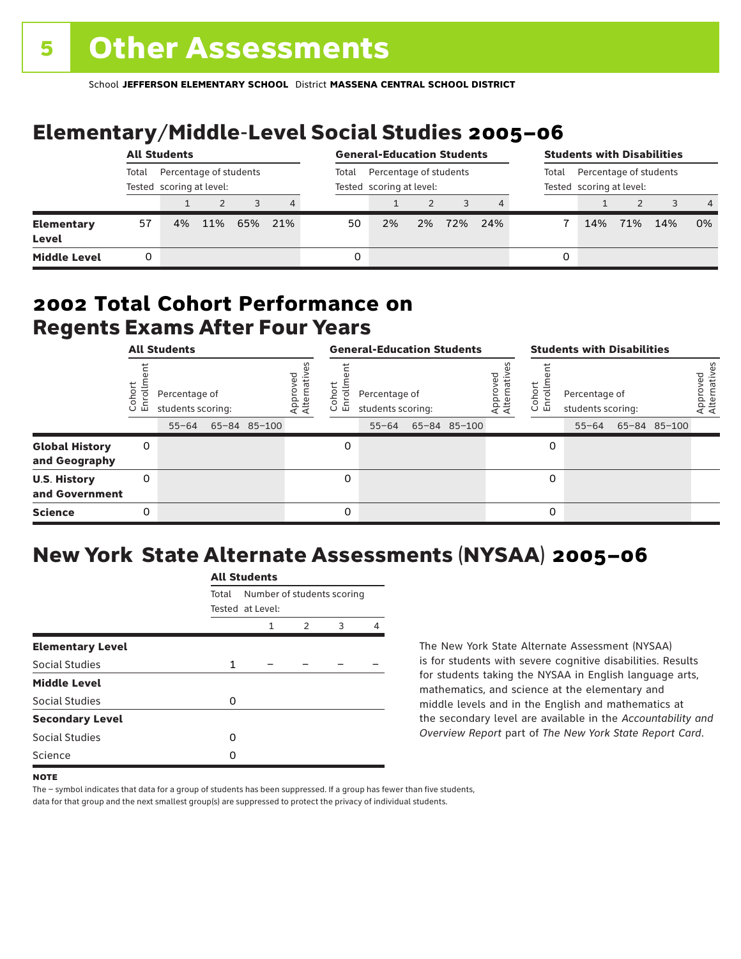# Elementary/Middle-Level Social Studies 2005–06

|                                   | <b>All Students</b> |                                                    |     |     | <b>General-Education Students</b> |                                                    |    |    |     | <b>Students with Disabilities</b>                           |   |     |     |     |                |
|-----------------------------------|---------------------|----------------------------------------------------|-----|-----|-----------------------------------|----------------------------------------------------|----|----|-----|-------------------------------------------------------------|---|-----|-----|-----|----------------|
|                                   | Total               | Percentage of students<br>Tested scoring at level: |     |     | Total                             | Percentage of students<br>Tested scoring at level: |    |    |     | Percentage of students<br>Total<br>Tested scoring at level: |   |     |     |     |                |
|                                   |                     |                                                    |     |     | 4                                 |                                                    |    |    |     |                                                             |   |     |     |     | $\overline{4}$ |
| <b>Elementary</b><br><b>Level</b> | 57                  | 4%                                                 | 11% | 65% | 21%                               | 50                                                 | 2% | 2% | 72% | 24%                                                         |   | 14% | 71% | 14% | 0%             |
| <b>Middle Level</b>               | 0                   |                                                    |     |     |                                   |                                                    |    |    |     |                                                             | 0 |     |     |     |                |

### Regents Exams After Four Years 2002 **Total Cohort Performance on**

| <b>All Students</b>                    |                            |                                                 |  |              | <b>General-Education Students</b> |                               |                                                 |  |              | <b>Students with Disabilities</b> |                   |                                                 |  |              |                          |
|----------------------------------------|----------------------------|-------------------------------------------------|--|--------------|-----------------------------------|-------------------------------|-------------------------------------------------|--|--------------|-----------------------------------|-------------------|-------------------------------------------------|--|--------------|--------------------------|
|                                        | ohort<br>o,<br>亩<br>$\cup$ | Percentage of<br>students scoring:<br>$55 - 64$ |  | 65-84 85-100 | Approved<br>Alternative           | <b>D</b><br>o,<br>屲<br>$\cup$ | Percentage of<br>students scoring:<br>$55 - 64$ |  | 65-84 85-100 | ρg<br>Approveo<br>Alternati       | Cohort<br>o,<br>문 | Percentage of<br>students scoring:<br>$55 - 64$ |  | 65-84 85-100 | Approved<br>Alternatives |
| <b>Global History</b><br>and Geography | 0                          |                                                 |  |              |                                   | 0                             |                                                 |  |              |                                   |                   |                                                 |  |              |                          |
| <b>U.S. History</b><br>and Government  | 0                          |                                                 |  |              |                                   | 0                             |                                                 |  |              |                                   | 0                 |                                                 |  |              |                          |
| <b>Science</b>                         | 0                          |                                                 |  |              |                                   | 0                             |                                                 |  |              |                                   | 0                 |                                                 |  |              |                          |

## New York State Alternate Assessments (NYSAA) 2005–06

|                         |       | All Students               |               |   |   |  |  |  |  |  |  |
|-------------------------|-------|----------------------------|---------------|---|---|--|--|--|--|--|--|
|                         | Total | Number of students scoring |               |   |   |  |  |  |  |  |  |
|                         |       | Tested at Level:           |               |   |   |  |  |  |  |  |  |
|                         |       | 1                          | $\mathcal{P}$ | 3 | Δ |  |  |  |  |  |  |
| <b>Elementary Level</b> |       |                            |               |   |   |  |  |  |  |  |  |
| Social Studies          | 1     |                            |               |   |   |  |  |  |  |  |  |
| <b>Middle Level</b>     |       |                            |               |   |   |  |  |  |  |  |  |
| <b>Social Studies</b>   | O     |                            |               |   |   |  |  |  |  |  |  |
| <b>Secondary Level</b>  |       |                            |               |   |   |  |  |  |  |  |  |
| Social Studies          | O     |                            |               |   |   |  |  |  |  |  |  |
| Science                 | n     |                            |               |   |   |  |  |  |  |  |  |
|                         |       |                            |               |   |   |  |  |  |  |  |  |

All Canada

The New York State Alternate Assessment (NYSAA) is for students with severe cognitive disabilities. Results for students taking the NYSAA in English language arts, mathematics, and science at the elementary and middle levels and in the English and mathematics at the secondary level are available in the *Accountability and Overview Report* part of *The New York State Report Card*.

The – symbol indicates that data for a group of students has been suppressed. If a group has fewer than five students, data for that group and the next smallest group(s) are suppressed to protect the privacy of individual students.

**NOTE**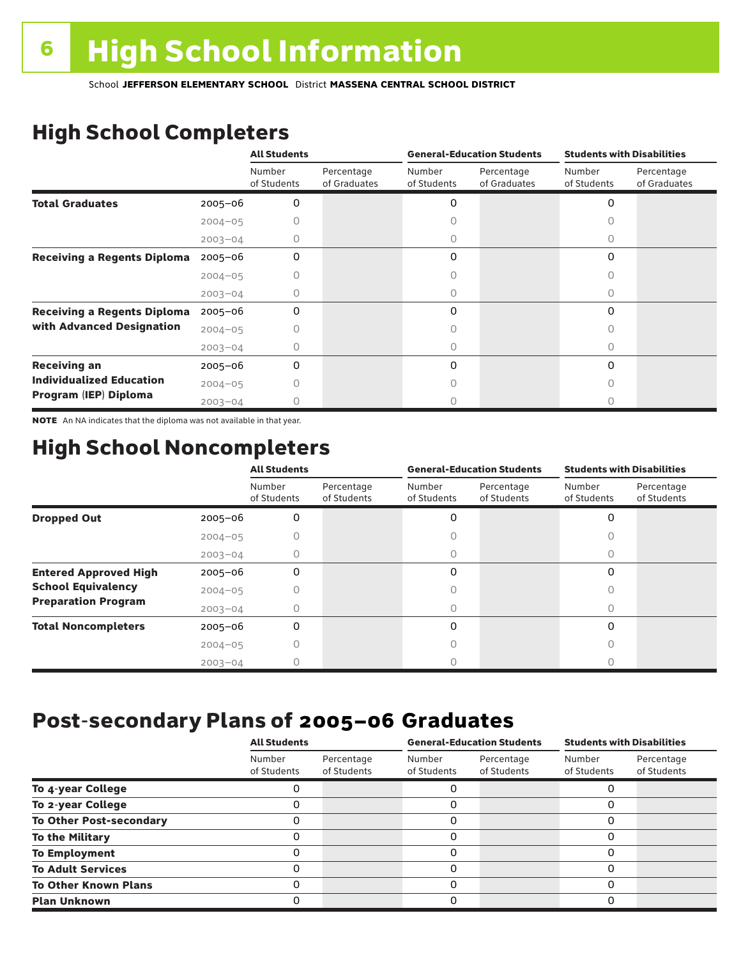# High School Completers

|                                    |             | <b>All Students</b>   |                            |                       | <b>General-Education Students</b> | <b>Students with Disabilities</b> |                            |  |
|------------------------------------|-------------|-----------------------|----------------------------|-----------------------|-----------------------------------|-----------------------------------|----------------------------|--|
|                                    |             | Number<br>of Students | Percentage<br>of Graduates | Number<br>of Students | Percentage<br>of Graduates        | Number<br>of Students             | Percentage<br>of Graduates |  |
| <b>Total Graduates</b>             | 2005-06     | 0                     |                            | 0                     |                                   | 0                                 |                            |  |
|                                    | $2004 - 05$ |                       |                            |                       |                                   |                                   |                            |  |
|                                    | $2003 - 04$ | 0                     |                            | 0                     |                                   | 0                                 |                            |  |
| <b>Receiving a Regents Diploma</b> | $2005 - 06$ | 0                     |                            | 0                     |                                   | 0                                 |                            |  |
|                                    | $2004 - 05$ |                       |                            |                       |                                   | Ω                                 |                            |  |
|                                    | $2003 - 04$ |                       |                            | 0                     |                                   | Ω                                 |                            |  |
| <b>Receiving a Regents Diploma</b> | $2005 - 06$ | 0                     |                            | 0                     |                                   | $\Omega$                          |                            |  |
| with Advanced Designation          | $2004 - 05$ |                       |                            |                       |                                   |                                   |                            |  |
|                                    | $2003 - 04$ |                       |                            |                       |                                   | Ω                                 |                            |  |
| <b>Receiving an</b>                | $2005 - 06$ | 0                     |                            | 0                     |                                   | 0                                 |                            |  |
| <b>Individualized Education</b>    | $2004 - 05$ |                       |                            |                       |                                   | Ω                                 |                            |  |
| Program (IEP) Diploma              | $2003 - 04$ |                       |                            |                       |                                   |                                   |                            |  |

NOTE An NA indicates that the diploma was not available in that year.

### High School Noncompleters

|                              |             | <b>All Students</b>   |                           |                       | <b>General-Education Students</b> | <b>Students with Disabilities</b> |                           |  |
|------------------------------|-------------|-----------------------|---------------------------|-----------------------|-----------------------------------|-----------------------------------|---------------------------|--|
|                              |             | Number<br>of Students | Percentage<br>of Students | Number<br>of Students | Percentage<br>of Students         | Number<br>of Students             | Percentage<br>of Students |  |
| <b>Dropped Out</b>           | $2005 - 06$ | 0                     |                           | 0                     |                                   | $\Omega$                          |                           |  |
|                              | $2004 - 05$ |                       |                           |                       |                                   |                                   |                           |  |
|                              | $2003 - 04$ |                       |                           | 0                     |                                   | U                                 |                           |  |
| <b>Entered Approved High</b> | $2005 - 06$ | 0                     |                           | 0                     |                                   | $\Omega$                          |                           |  |
| <b>School Equivalency</b>    | $2004 - 05$ |                       |                           | О                     |                                   | Ω                                 |                           |  |
| <b>Preparation Program</b>   | $2003 - 04$ | Ω                     |                           | 0                     |                                   | <sup>n</sup>                      |                           |  |
| <b>Total Noncompleters</b>   | $2005 - 06$ | 0                     |                           | 0                     |                                   | $\Omega$                          |                           |  |
|                              | $2004 - 05$ |                       |                           | 0                     |                                   | 0                                 |                           |  |
|                              | $2003 - 04$ |                       |                           |                       |                                   |                                   |                           |  |

### Post-secondary Plans of 2005–06 **Graduates**

|                                | <b>All Students</b>   |                           |                       | <b>General-Education Students</b> | <b>Students with Disabilities</b> |                           |  |
|--------------------------------|-----------------------|---------------------------|-----------------------|-----------------------------------|-----------------------------------|---------------------------|--|
|                                | Number<br>of Students | Percentage<br>of Students | Number<br>of Students | Percentage<br>of Students         | Number<br>of Students             | Percentage<br>of Students |  |
| To 4-year College              |                       |                           |                       |                                   |                                   |                           |  |
| To 2-year College              |                       |                           | 0                     |                                   | 0                                 |                           |  |
| <b>To Other Post-secondary</b> |                       |                           | ი                     |                                   | 0                                 |                           |  |
| <b>To the Military</b>         |                       |                           | ი                     |                                   | 0                                 |                           |  |
| <b>To Employment</b>           |                       |                           | 0                     |                                   | 0                                 |                           |  |
| <b>To Adult Services</b>       |                       |                           |                       |                                   | O                                 |                           |  |
| <b>To Other Known Plans</b>    |                       |                           | 0                     |                                   | 0                                 |                           |  |
| <b>Plan Unknown</b>            |                       |                           |                       |                                   | 0                                 |                           |  |